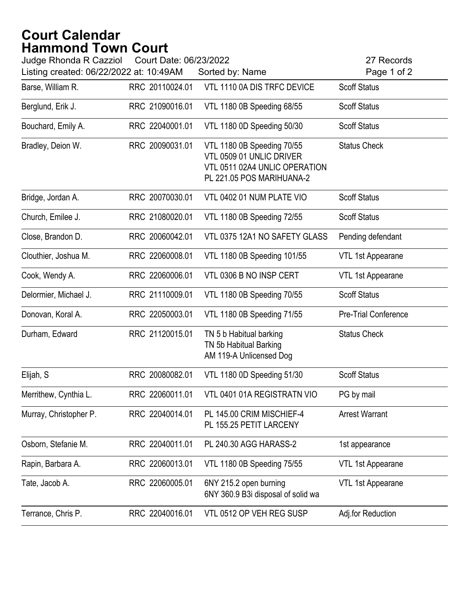## **Court Calendar Hammond Town Court**

| Judge Rhonda R Cazziol<br>Court Date: 06/23/2022<br>Listing created: 06/22/2022 at: 10:49AM<br>Sorted by: Name |                 |                                                                                                                      | 27 Records<br>Page 1 of 2 |  |
|----------------------------------------------------------------------------------------------------------------|-----------------|----------------------------------------------------------------------------------------------------------------------|---------------------------|--|
| Barse, William R.                                                                                              | RRC 20110024.01 | VTL 1110 0A DIS TRFC DEVICE                                                                                          | <b>Scoff Status</b>       |  |
| Berglund, Erik J.                                                                                              | RRC 21090016.01 | VTL 1180 0B Speeding 68/55                                                                                           | <b>Scoff Status</b>       |  |
| Bouchard, Emily A.                                                                                             | RRC 22040001.01 | VTL 1180 0D Speeding 50/30                                                                                           | <b>Scoff Status</b>       |  |
| Bradley, Deion W.                                                                                              | RRC 20090031.01 | VTL 1180 0B Speeding 70/55<br>VTL 0509 01 UNLIC DRIVER<br>VTL 0511 02A4 UNLIC OPERATION<br>PL 221.05 POS MARIHUANA-2 | <b>Status Check</b>       |  |
| Bridge, Jordan A.                                                                                              | RRC 20070030.01 | VTL 0402 01 NUM PLATE VIO                                                                                            | <b>Scoff Status</b>       |  |
| Church, Emilee J.                                                                                              | RRC 21080020.01 | VTL 1180 0B Speeding 72/55                                                                                           | <b>Scoff Status</b>       |  |
| Close, Brandon D.                                                                                              | RRC 20060042.01 | VTL 0375 12A1 NO SAFETY GLASS                                                                                        | Pending defendant         |  |
| Clouthier, Joshua M.                                                                                           | RRC 22060008.01 | VTL 1180 0B Speeding 101/55                                                                                          | VTL 1st Appearane         |  |
| Cook, Wendy A.                                                                                                 | RRC 22060006.01 | VTL 0306 B NO INSP CERT                                                                                              | VTL 1st Appearane         |  |
| Delormier, Michael J.                                                                                          | RRC 21110009.01 | VTL 1180 0B Speeding 70/55                                                                                           | <b>Scoff Status</b>       |  |
| Donovan, Koral A.                                                                                              | RRC 22050003.01 | VTL 1180 0B Speeding 71/55                                                                                           | Pre-Trial Conference      |  |
| Durham, Edward                                                                                                 | RRC 21120015.01 | TN 5 b Habitual barking<br>TN 5b Habitual Barking<br>AM 119-A Unlicensed Dog                                         | <b>Status Check</b>       |  |
| Elijah, S                                                                                                      | RRC 20080082.01 | VTL 1180 0D Speeding 51/30                                                                                           | <b>Scoff Status</b>       |  |
| Merrithew, Cynthia L.                                                                                          | RRC 22060011.01 | VTL 0401 01A REGISTRATN VIO                                                                                          | PG by mail                |  |
| Murray, Christopher P.                                                                                         | RRC 22040014.01 | PL 145.00 CRIM MISCHIEF-4<br>PL 155.25 PETIT LARCENY                                                                 | <b>Arrest Warrant</b>     |  |
| Osborn, Stefanie M.                                                                                            | RRC 22040011.01 | PL 240.30 AGG HARASS-2                                                                                               | 1st appearance            |  |
| Rapin, Barbara A.                                                                                              | RRC 22060013.01 | VTL 1180 0B Speeding 75/55                                                                                           | VTL 1st Appearane         |  |
| Tate, Jacob A.                                                                                                 | RRC 22060005.01 | 6NY 215.2 open burning<br>6NY 360.9 B3i disposal of solid wa                                                         | VTL 1st Appearane         |  |
| Terrance, Chris P.                                                                                             | RRC 22040016.01 | VTL 0512 OP VEH REG SUSP                                                                                             | Adj.for Reduction         |  |